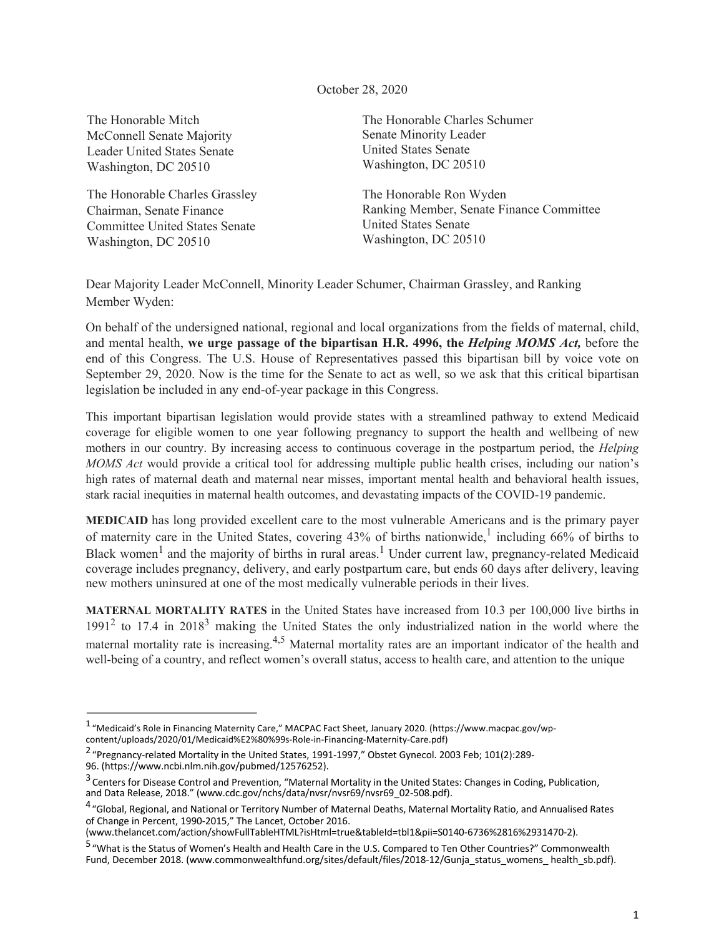## October 28, 2020

The Honorable Mitch McConnell Senate Majority Leader United States Senate Washington, DC 20510

The Honorable Charles Grassley Chairman, Senate Finance Committee United States Senate Washington, DC 20510

The Honorable Charles Schumer Senate Minority Leader United States Senate Washington, DC 20510

The Honorable Ron Wyden Ranking Member, Senate Finance Committee United States Senate Washington, DC 20510

Dear Majority Leader McConnell, Minority Leader Schumer, Chairman Grassley, and Ranking Member Wyden:

On behalf of the undersigned national, regional and local organizations from the fields of maternal, child, and mental health, **we urge passage of the bipartisan H.R. 4996, the** *Helping MOMS Act,* before the end of this Congress. The U.S. House of Representatives passed this bipartisan bill by voice vote on September 29, 2020. Now is the time for the Senate to act as well, so we ask that this critical bipartisan legislation be included in any end-of-year package in this Congress.

This important bipartisan legislation would provide states with a streamlined pathway to extend Medicaid coverage for eligible women to one year following pregnancy to support the health and wellbeing of new mothers in our country. By increasing access to continuous coverage in the postpartum period, the *Helping MOMS Act* would provide a critical tool for addressing multiple public health crises, including our nation's high rates of maternal death and maternal near misses, important mental health and behavioral health issues, stark racial inequities in maternal health outcomes, and devastating impacts of the COVID-19 pandemic.

**MEDICAID** has long provided excellent care to the most vulnerable Americans and is the primary payer of maternity care in the United States, covering 43% of births nationwide,<sup>1</sup> including 66% of births to Black women<sup>1</sup> and the majority of births in rural areas.<sup>1</sup> Under current law, pregnancy-related Medicaid coverage includes pregnancy, delivery, and early postpartum care, but ends 60 days after delivery, leaving new mothers uninsured at one of the most medically vulnerable periods in their lives.

**MATERNAL MORTALITY RATES** in the United States have increased from 10.3 per 100,000 live births in  $1991<sup>2</sup>$  to 17.4 in 2018<sup>3</sup> making the United States the only industrialized nation in the world where the maternal mortality rate is increasing.4,5 Maternal mortality rates are an important indicator of the health and well-being of a country, and reflect women's overall status, access to health care, and attention to the unique

(www.thelancet.com/action/showFullTableHTML?isHtml=true&tableId=tbl1&pii=S0140-6736%2816%2931470-2).

<sup>1</sup> "Medicaid's Role in Financing Maternity Care," MACPAC Fact Sheet, January 2020. (https://www.macpac.gov/wpcontent/uploads/2020/01/Medicaid%E2%80%99s-Role-in-Financing-Maternity-Care.pdf)

<sup>2</sup> "Pregnancy-related Mortality in the United States, 1991-1997," Obstet Gynecol. 2003 Feb; 101(2):289- 96. (https://www.ncbi.nlm.nih.gov/pubmed/12576252).

<sup>&</sup>lt;sup>3</sup> Centers for Disease Control and Prevention, "Maternal Mortality in the United States: Changes in Coding, Publication, and Data Release, 2018." (www.cdc.gov/nchs/data/nvsr/nvsr69/nvsr69\_02-508.pdf).

<sup>4&</sup>quot;Global, Regional, and National or Territory Number of Maternal Deaths, Maternal Mortality Ratio, and Annualised Rates of Change in Percent, 1990-2015," The Lancet, October 2016.

<sup>5</sup> "What is the Status of Women's Health and Health Care in the U.S. Compared to Ten Other Countries?" Commonwealth Fund, December 2018. (www.commonwealthfund.org/sites/default/files/2018-12/Gunja\_status\_womens\_ health\_sb.pdf).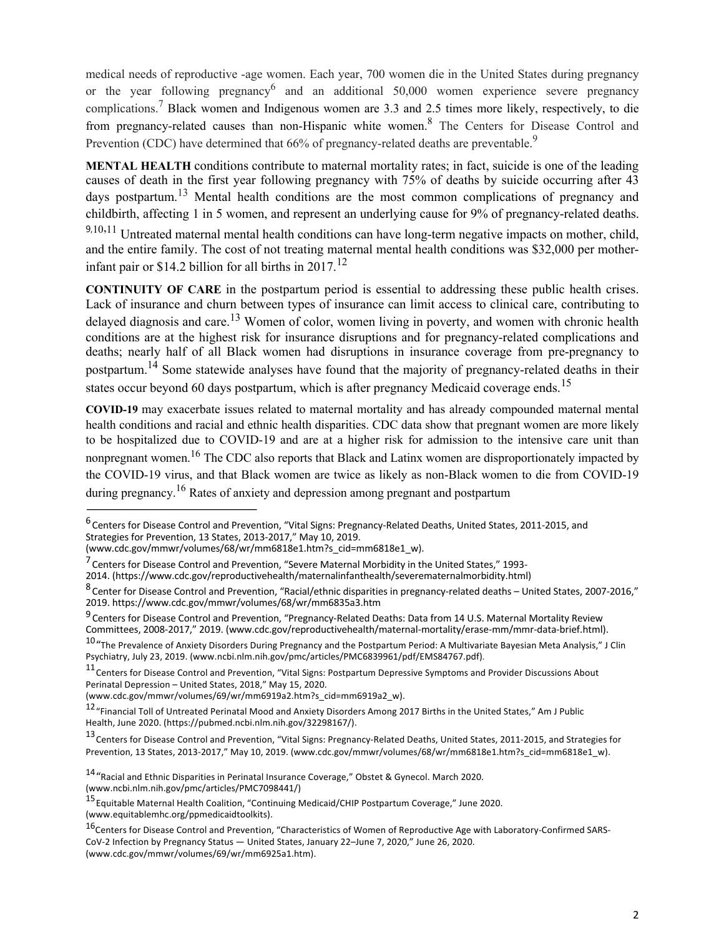medical needs of reproductive -age women. Each year, 700 women die in the United States during pregnancy or the year following pregnancy<sup>6</sup> and an additional  $50,000$  women experience severe pregnancy complications.7 Black women and Indigenous women are 3.3 and 2.5 times more likely, respectively, to die from pregnancy-related causes than non-Hispanic white women.<sup>8</sup> The Centers for Disease Control and Prevention (CDC) have determined that 66% of pregnancy-related deaths are preventable.<sup>9</sup>

**MENTAL HEALTH** conditions contribute to maternal mortality rates; in fact, suicide is one of the leading causes of death in the first year following pregnancy with 75% of deaths by suicide occurring after 43 days postpartum.<sup>13</sup> Mental health conditions are the most common complications of pregnancy and childbirth, affecting 1 in 5 women, and represent an underlying cause for 9% of pregnancy-related deaths.

9,10,11 Untreated maternal mental health conditions can have long-term negative impacts on mother, child, and the entire family. The cost of not treating maternal mental health conditions was \$32,000 per motherinfant pair or \$14.2 billion for all births in  $2017$ .<sup>12</sup>

**CONTINUITY OF CARE** in the postpartum period is essential to addressing these public health crises. Lack of insurance and churn between types of insurance can limit access to clinical care, contributing to delayed diagnosis and care.<sup>13</sup> Women of color, women living in poverty, and women with chronic health conditions are at the highest risk for insurance disruptions and for pregnancy-related complications and deaths; nearly half of all Black women had disruptions in insurance coverage from pre-pregnancy to postpartum.14 Some statewide analyses have found that the majority of pregnancy-related deaths in their states occur beyond 60 days postpartum, which is after pregnancy Medicaid coverage ends.<sup>15</sup>

**COVID-19** may exacerbate issues related to maternal mortality and has already compounded maternal mental health conditions and racial and ethnic health disparities. CDC data show that pregnant women are more likely to be hospitalized due to COVID-19 and are at a higher risk for admission to the intensive care unit than nonpregnant women.<sup>16</sup> The CDC also reports that Black and Latinx women are disproportionately impacted by the COVID-19 virus, and that Black women are twice as likely as non-Black women to die from COVID-19 during pregnancy.<sup>16</sup> Rates of anxiety and depression among pregnant and postpartum

 $^6$  Centers for Disease Control and Prevention, "Vital Signs: Pregnancy-Related Deaths, United States, 2011-2015, and Strategies for Prevention, 13 States, 2013-2017," May 10, 2019.

<sup>(</sup>www.cdc.gov/mmwr/volumes/68/wr/mm6818e1.htm?s\_cid=mm6818e1\_w).

<sup>7</sup> Centers for Disease Control and Prevention, "Severe Maternal Morbidity in the United States," 1993-

<sup>2014. (</sup>https://www.cdc.gov/reproductivehealth/maternalinfanthealth/severematernalmorbidity.html)

<sup>8</sup> Center for Disease Control and Prevention, "Racial/ethnic disparities in pregnancy-related deaths – United States, 2007-2016," 2019. https://www.cdc.gov/mmwr/volumes/68/wr/mm6835a3.htm

<sup>9</sup> Centers for Disease Control and Prevention, "Pregnancy-Related Deaths: Data from 14 U.S. Maternal Mortality Review Committees, 2008-2017," 2019. (www.cdc.gov/reproductivehealth/maternal-mortality/erase-mm/mmr-data-brief.html).

<sup>10&</sup>quot;The Prevalence of Anxiety Disorders During Pregnancy and the Postpartum Period: A Multivariate Bayesian Meta Analysis," J Clin Psychiatry, July 23, 2019. (www.ncbi.nlm.nih.gov/pmc/articles/PMC6839961/pdf/EMS84767.pdf).

 $11$ Centers for Disease Control and Prevention, "Vital Signs: Postpartum Depressive Symptoms and Provider Discussions About Perinatal Depression – United States, 2018," May 15, 2020.

<sup>(</sup>www.cdc.gov/mmwr/volumes/69/wr/mm6919a2.htm?s\_cid=mm6919a2\_w).

<sup>12&</sup>quot;Financial Toll of Untreated Perinatal Mood and Anxiety Disorders Among 2017 Births in the United States," Am J Public Health, June 2020. (https://pubmed.ncbi.nlm.nih.gov/32298167/).

<sup>13</sup> Centers for Disease Control and Prevention, "Vital Signs: Pregnancy-Related Deaths, United States, 2011-2015, and Strategies for Prevention, 13 States, 2013-2017," May 10, 2019. (www.cdc.gov/mmwr/volumes/68/wr/mm6818e1.htm?s\_cid=mm6818e1\_w).

<sup>14&</sup>quot;Racial and Ethnic Disparities in Perinatal Insurance Coverage," Obstet & Gynecol. March 2020. (www.ncbi.nlm.nih.gov/pmc/articles/PMC7098441/)

<sup>15</sup>Equitable Maternal Health Coalition, "Continuing Medicaid/CHIP Postpartum Coverage," June 2020. (www.equitablemhc.org/ppmedicaidtoolkits).

<sup>16</sup>Centers for Disease Control and Prevention, "Characteristics of Women of Reproductive Age with Laboratory-Confirmed SARS-CoV-2 Infection by Pregnancy Status — United States, January 22–June 7, 2020," June 26, 2020. (www.cdc.gov/mmwr/volumes/69/wr/mm6925a1.htm).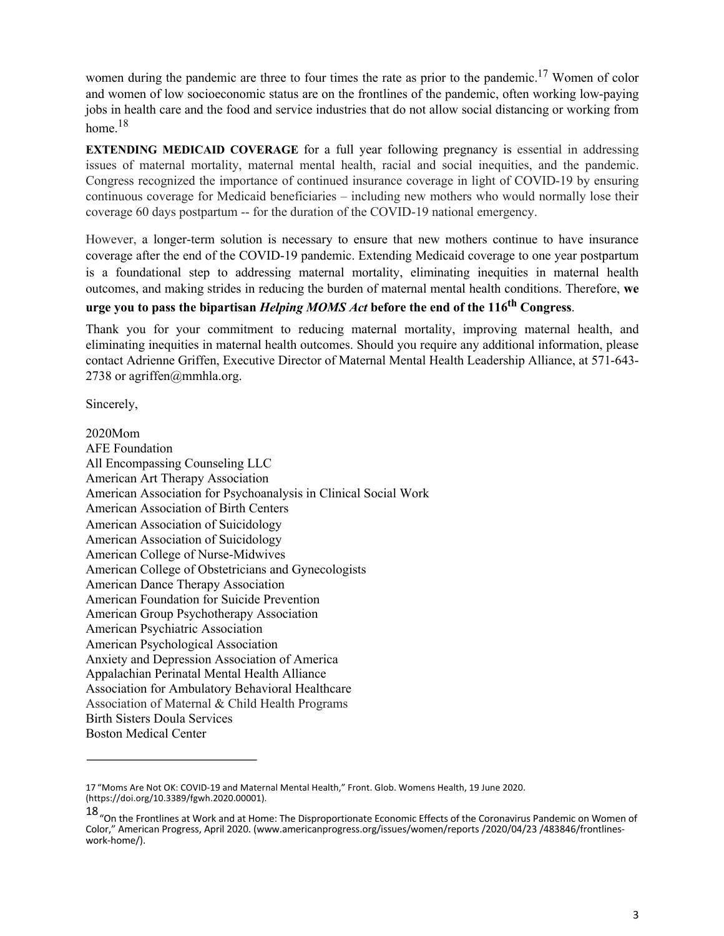women during the pandemic are three to four times the rate as prior to the pandemic.<sup>17</sup> Women of color and women of low socioeconomic status are on the frontlines of the pandemic, often working low-paying jobs in health care and the food and service industries that do not allow social distancing or working from home. $18$ 

**EXTENDING MEDICAID COVERAGE** for a full year following pregnancy is essential in addressing issues of maternal mortality, maternal mental health, racial and social inequities, and the pandemic. Congress recognized the importance of continued insurance coverage in light of COVID-19 by ensuring continuous coverage for Medicaid beneficiaries – including new mothers who would normally lose their coverage 60 days postpartum -- for the duration of the COVID-19 national emergency.

However, a longer-term solution is necessary to ensure that new mothers continue to have insurance coverage after the end of the COVID-19 pandemic. Extending Medicaid coverage to one year postpartum is a foundational step to addressing maternal mortality, eliminating inequities in maternal health outcomes, and making strides in reducing the burden of maternal mental health conditions. Therefore, **we** 

## **urge you to pass the bipartisan** *Helping MOMS Act* **before the end of the 116th Congress**.

Thank you for your commitment to reducing maternal mortality, improving maternal health, and eliminating inequities in maternal health outcomes. Should you require any additional information, please contact Adrienne Griffen, Executive Director of Maternal Mental Health Leadership Alliance, at 571-643- 2738 or agriffen@mmhla.org.

Sincerely,

2020Mom AFE Foundation All Encompassing Counseling LLC American Art Therapy Association American Association for Psychoanalysis in Clinical Social Work American Association of Birth Centers American Association of Suicidology American Association of Suicidology American College of Nurse-Midwives American College of Obstetricians and Gynecologists American Dance Therapy Association American Foundation for Suicide Prevention American Group Psychotherapy Association American Psychiatric Association American Psychological Association Anxiety and Depression Association of America Appalachian Perinatal Mental Health Alliance Association for Ambulatory Behavioral Healthcare Association of Maternal & Child Health Programs Birth Sisters Doula Services Boston Medical Center

<sup>17</sup> "Moms Are Not OK: COVID-19 and Maternal Mental Health," Front. Glob. Womens Health, 19 June 2020. (https://doi.org/10.3389/fgwh.2020.00001).

<sup>18 &</sup>quot;On the Frontlines at Work and at Home: The Disproportionate Economic Effects of the Coronavirus Pandemic on Women of Color," American Progress, April 2020. (www.americanprogress.org/issues/women/reports /2020/04/23 /483846/frontlineswork-home/).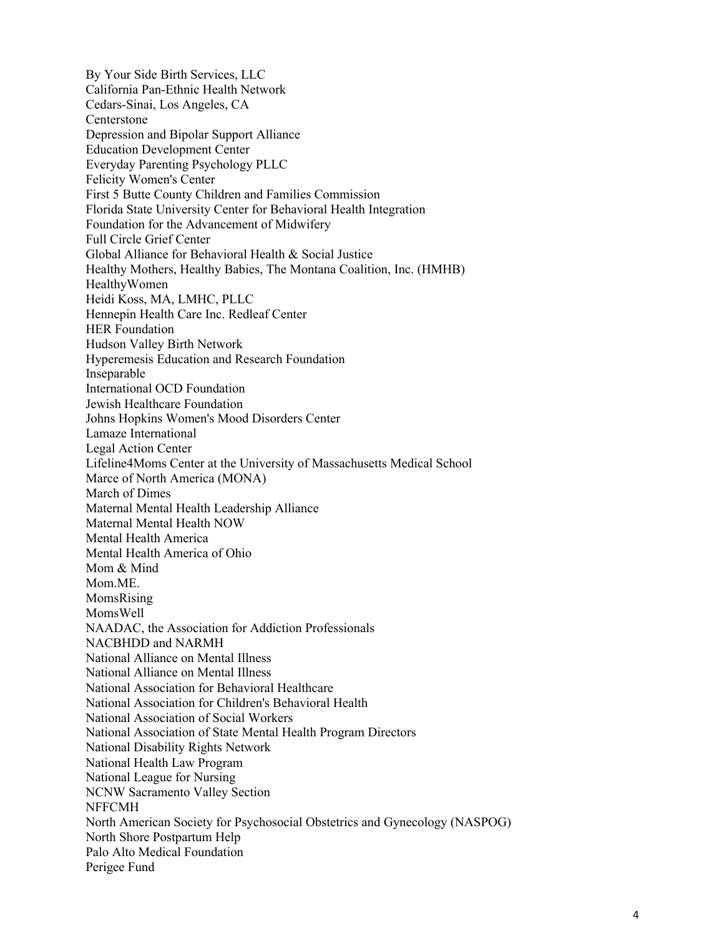By Your Side Birth Services, LLC California Pan-Ethnic Health Network Cedars-Sinai, Los Angeles, CA Centerstone Depression and Bipolar Support Alliance Education Development Center Everyday Parenting Psychology PLLC Felicity Women's Center First 5 Butte County Children and Families Commission Florida State University Center for Behavioral Health Integration Foundation for the Advancement of Midwifery Full Circle Grief Center Global Alliance for Behavioral Health & Social Justice Healthy Mothers, Healthy Babies, The Montana Coalition, Inc. (HMHB) HealthyWomen Heidi Koss, MA, LMHC, PLLC Hennepin Health Care Inc. Redleaf Center HER Foundation Hudson Valley Birth Network Hyperemesis Education and Research Foundation Inseparable International OCD Foundation Jewish Healthcare Foundation Johns Hopkins Women's Mood Disorders Center Lamaze International Legal Action Center Lifeline4Moms Center at the University of Massachusetts Medical School Marce of North America (MONA) March of Dimes Maternal Mental Health Leadership Alliance Maternal Mental Health NOW Mental Health America Mental Health America of Ohio Mom & Mind Mom.ME. MomsRising MomsWell NAADAC, the Association for Addiction Professionals NACBHDD and NARMH National Alliance on Mental Illness National Alliance on Mental Illness National Association for Behavioral Healthcare National Association for Children's Behavioral Health National Association of Social Workers National Association of State Mental Health Program Directors National Disability Rights Network National Health Law Program National League for Nursing NCNW Sacramento Valley Section NFFCMH North American Society for Psychosocial Obstetrics and Gynecology (NASPOG) North Shore Postpartum Help Palo Alto Medical Foundation Perigee Fund